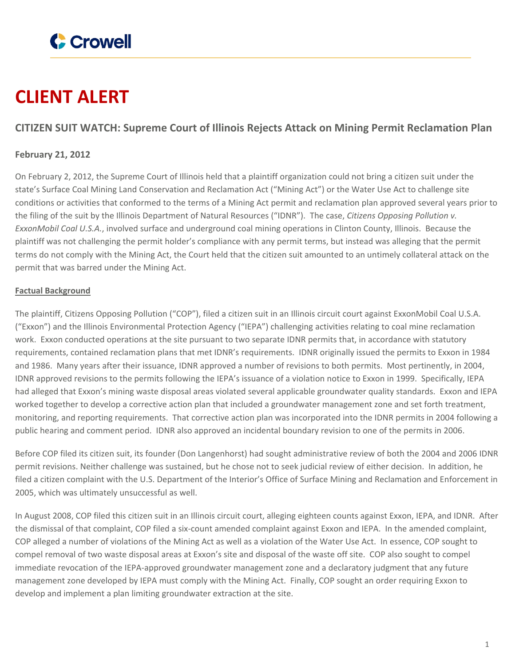

# **CLIENT ALERT**

## **CITIZEN SUIT WATCH: Supreme Court of Illinois Rejects Attack on Mining Permit Reclamation Plan**

### **February 21, 2012**

On February 2, 2012, the Supreme Court of Illinois held that a plaintiff organization could not bring a citizen suit under the state's Surface Coal Mining Land Conservation and Reclamation Act ("Mining Act") or the Water Use Act to challenge site conditions or activities that conformed to the terms of a Mining Act permit and reclamation plan approved several years prior to the filing of the suit by the Illinois Department of Natural Resources ("IDNR"). The case, *Citizens Opposing Pollution v. ExxonMobil Coal U.S.A.*, involved surface and underground coal mining operations in Clinton County, Illinois. Because the plaintiff was not challenging the permit holder's compliance with any permit terms, but instead was alleging that the permit terms do not comply with the Mining Act, the Court held that the citizen suit amounted to an untimely collateral attack on the permit that was barred under the Mining Act.

#### **Factual Background**

The plaintiff, Citizens Opposing Pollution ("COP"), filed a citizen suit in an Illinois circuit court against ExxonMobil Coal U.S.A. ("Exxon") and the Illinois Environmental Protection Agency ("IEPA") challenging activities relating to coal mine reclamation work. Exxon conducted operations at the site pursuant to two separate IDNR permits that, in accordance with statutory requirements, contained reclamation plans that met IDNR's requirements. IDNR originally issued the permits to Exxon in 1984 and 1986. Many years after their issuance, IDNR approved a number of revisions to both permits. Most pertinently, in 2004, IDNR approved revisions to the permits following the IEPA's issuance of a violation notice to Exxon in 1999. Specifically, IEPA had alleged that Exxon's mining waste disposal areas violated several applicable groundwater quality standards. Exxon and IEPA worked together to develop a corrective action plan that included a groundwater management zone and set forth treatment, monitoring, and reporting requirements. That corrective action plan was incorporated into the IDNR permits in 2004 following a public hearing and comment period. IDNR also approved an incidental boundary revision to one of the permits in 2006.

Before COP filed its citizen suit, its founder (Don Langenhorst) had sought administrative review of both the 2004 and 2006 IDNR permit revisions. Neither challenge was sustained, but he chose not to seek judicial review of either decision. In addition, he filed a citizen complaint with the U.S. Department of the Interior's Office of Surface Mining and Reclamation and Enforcement in 2005, which was ultimately unsuccessful as well.

In August 2008, COP filed this citizen suit in an Illinois circuit court, alleging eighteen counts against Exxon, IEPA, and IDNR. After the dismissal of that complaint, COP filed a six-count amended complaint against Exxon and IEPA. In the amended complaint, COP alleged a number of violations of the Mining Act as well as a violation of the Water Use Act. In essence, COP sought to compel removal of two waste disposal areas at Exxon's site and disposal of the waste off site. COP also sought to compel immediate revocation of the IEPA-approved groundwater management zone and a declaratory judgment that any future management zone developed by IEPA must comply with the Mining Act. Finally, COP sought an order requiring Exxon to develop and implement a plan limiting groundwater extraction at the site.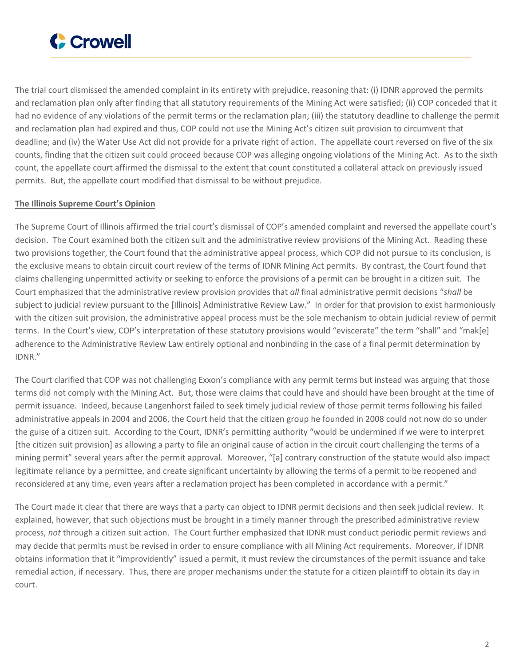

The trial court dismissed the amended complaint in its entirety with prejudice, reasoning that: (i) IDNR approved the permits and reclamation plan only after finding that all statutory requirements of the Mining Act were satisfied; (ii) COP conceded that it had no evidence of any violations of the permit terms or the reclamation plan; (iii) the statutory deadline to challenge the permit and reclamation plan had expired and thus, COP could not use the Mining Act's citizen suit provision to circumvent that deadline; and (iv) the Water Use Act did not provide for a private right of action. The appellate court reversed on five of the six counts, finding that the citizen suit could proceed because COP was alleging ongoing violations of the Mining Act. As to the sixth count, the appellate court affirmed the dismissal to the extent that count constituted a collateral attack on previously issued permits. But, the appellate court modified that dismissal to be without prejudice.

#### **The Illinois Supreme Court's Opinion**

The Supreme Court of Illinois affirmed the trial court's dismissal of COP's amended complaint and reversed the appellate court's decision. The Court examined both the citizen suit and the administrative review provisions of the Mining Act. Reading these two provisions together, the Court found that the administrative appeal process, which COP did not pursue to its conclusion, is the exclusive means to obtain circuit court review of the terms of IDNR Mining Act permits. By contrast, the Court found that claims challenging unpermitted activity or seeking to enforce the provisions of a permit can be brought in a citizen suit. The Court emphasized that the administrative review provision provides that *all* final administrative permit decisions "*shall* be subject to judicial review pursuant to the [Illinois] Administrative Review Law." In order for that provision to exist harmoniously with the citizen suit provision, the administrative appeal process must be the sole mechanism to obtain judicial review of permit terms. In the Court's view, COP's interpretation of these statutory provisions would "eviscerate" the term "shall" and "mak[e] adherence to the Administrative Review Law entirely optional and nonbinding in the case of a final permit determination by IDNR."

The Court clarified that COP was not challenging Exxon's compliance with any permit terms but instead was arguing that those terms did not comply with the Mining Act. But, those were claims that could have and should have been brought at the time of permit issuance. Indeed, because Langenhorst failed to seek timely judicial review of those permit terms following his failed administrative appeals in 2004 and 2006, the Court held that the citizen group he founded in 2008 could not now do so under the guise of a citizen suit. According to the Court, IDNR's permitting authority "would be undermined if we were to interpret [the citizen suit provision] as allowing a party to file an original cause of action in the circuit court challenging the terms of a mining permit" several years after the permit approval. Moreover, "[a] contrary construction of the statute would also impact legitimate reliance by a permittee, and create significant uncertainty by allowing the terms of a permit to be reopened and reconsidered at any time, even years after a reclamation project has been completed in accordance with a permit."

The Court made it clear that there are ways that a party can object to IDNR permit decisions and then seek judicial review. It explained, however, that such objections must be brought in a timely manner through the prescribed administrative review process, *not* through a citizen suit action. The Court further emphasized that IDNR must conduct periodic permit reviews and may decide that permits must be revised in order to ensure compliance with all Mining Act requirements. Moreover, if IDNR obtains information that it "improvidently" issued a permit, it must review the circumstances of the permit issuance and take remedial action, if necessary. Thus, there are proper mechanisms under the statute for a citizen plaintiff to obtain its day in court.